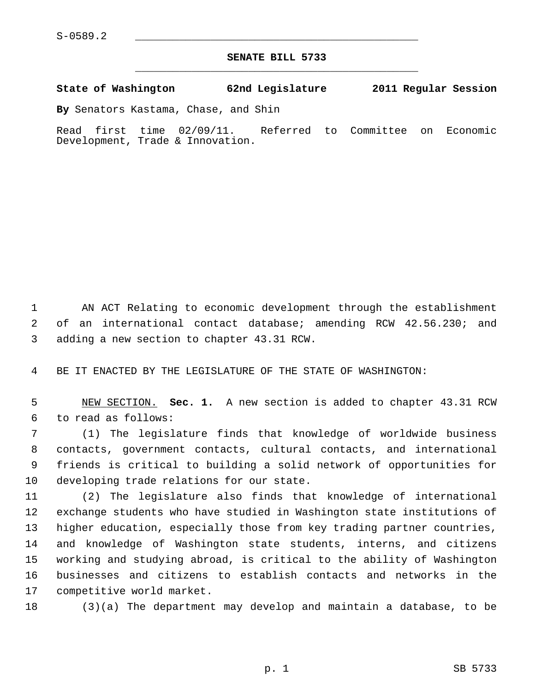## **SENATE BILL 5733** \_\_\_\_\_\_\_\_\_\_\_\_\_\_\_\_\_\_\_\_\_\_\_\_\_\_\_\_\_\_\_\_\_\_\_\_\_\_\_\_\_\_\_\_\_

## **State of Washington 62nd Legislature 2011 Regular Session**

**By** Senators Kastama, Chase, and Shin

Read first time 02/09/11. Referred to Committee on Economic Development, Trade & Innovation.

 1 AN ACT Relating to economic development through the establishment 2 of an international contact database; amending RCW 42.56.230; and 3 adding a new section to chapter 43.31 RCW.

4 BE IT ENACTED BY THE LEGISLATURE OF THE STATE OF WASHINGTON:

 5 NEW SECTION. **Sec. 1.** A new section is added to chapter 43.31 RCW 6 to read as follows:

 7 (1) The legislature finds that knowledge of worldwide business 8 contacts, government contacts, cultural contacts, and international 9 friends is critical to building a solid network of opportunities for 10 developing trade relations for our state.

11 (2) The legislature also finds that knowledge of international 12 exchange students who have studied in Washington state institutions of 13 higher education, especially those from key trading partner countries, 14 and knowledge of Washington state students, interns, and citizens 15 working and studying abroad, is critical to the ability of Washington 16 businesses and citizens to establish contacts and networks in the 17 competitive world market.

18 (3)(a) The department may develop and maintain a database, to be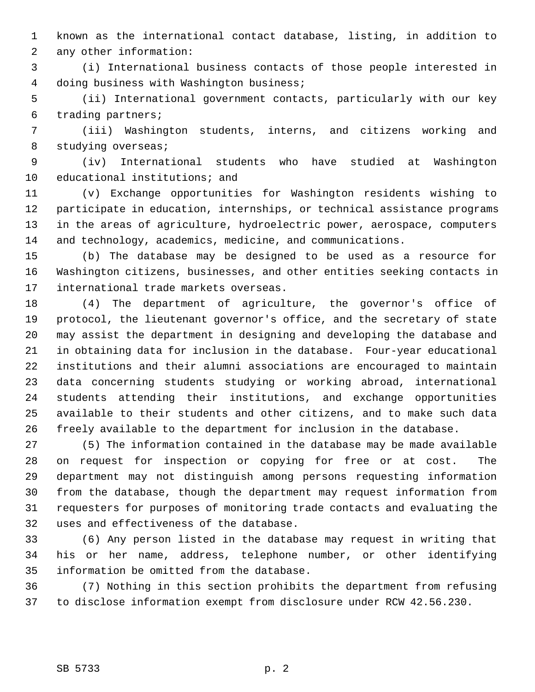1 known as the international contact database, listing, in addition to 2 any other information:

 3 (i) International business contacts of those people interested in 4 doing business with Washington business;

 5 (ii) International government contacts, particularly with our key 6 trading partners;

 7 (iii) Washington students, interns, and citizens working and 8 studying overseas;

 9 (iv) International students who have studied at Washington 10 educational institutions; and

11 (v) Exchange opportunities for Washington residents wishing to 12 participate in education, internships, or technical assistance programs 13 in the areas of agriculture, hydroelectric power, aerospace, computers 14 and technology, academics, medicine, and communications.

15 (b) The database may be designed to be used as a resource for 16 Washington citizens, businesses, and other entities seeking contacts in 17 international trade markets overseas.

18 (4) The department of agriculture, the governor's office of 19 protocol, the lieutenant governor's office, and the secretary of state 20 may assist the department in designing and developing the database and 21 in obtaining data for inclusion in the database. Four-year educational 22 institutions and their alumni associations are encouraged to maintain 23 data concerning students studying or working abroad, international 24 students attending their institutions, and exchange opportunities 25 available to their students and other citizens, and to make such data 26 freely available to the department for inclusion in the database.

27 (5) The information contained in the database may be made available 28 on request for inspection or copying for free or at cost. The 29 department may not distinguish among persons requesting information 30 from the database, though the department may request information from 31 requesters for purposes of monitoring trade contacts and evaluating the 32 uses and effectiveness of the database.

33 (6) Any person listed in the database may request in writing that 34 his or her name, address, telephone number, or other identifying 35 information be omitted from the database.

36 (7) Nothing in this section prohibits the department from refusing 37 to disclose information exempt from disclosure under RCW 42.56.230.